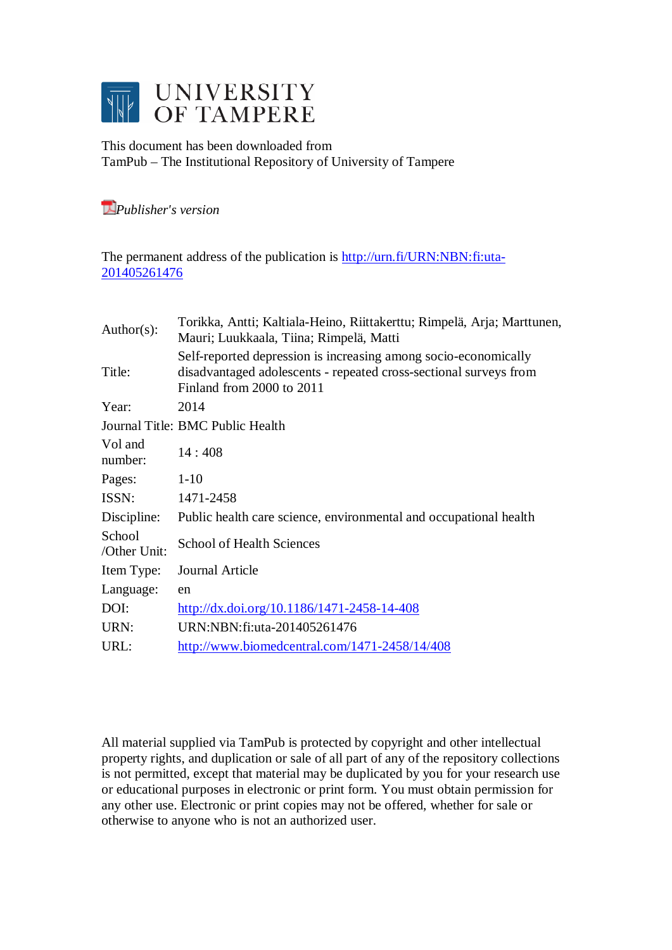

This document has been downloaded from TamPub – The Institutional Repository of University of Tampere

*[P](http://tampub.uta.fi/english/haekokoversio.php?id=1007)ublisher's version* 

The permanent address of the publication is [http://urn.fi/URN:NBN:fi:uta-](http://urn.fi/URN:NBN:fi:uta-201405261476)[201405261476](http://urn.fi/URN:NBN:fi:uta-201405261476)

| Torikka, Antti; Kaltiala-Heino, Riittakerttu; Rimpelä, Arja; Marttunen,<br>Mauri; Luukkaala, Tiina; Rimpelä, Matti                                                |
|-------------------------------------------------------------------------------------------------------------------------------------------------------------------|
| Self-reported depression is increasing among socio-economically<br>disadvantaged adolescents - repeated cross-sectional surveys from<br>Finland from 2000 to 2011 |
| 2014                                                                                                                                                              |
| Journal Title: BMC Public Health                                                                                                                                  |
| 14:408                                                                                                                                                            |
| $1-10$                                                                                                                                                            |
| 1471-2458                                                                                                                                                         |
| Public health care science, environmental and occupational health                                                                                                 |
| <b>School of Health Sciences</b>                                                                                                                                  |
| Journal Article                                                                                                                                                   |
| en                                                                                                                                                                |
| $\frac{http://dx.doi.org/10.1186/1471-2458-14-408}{$                                                                                                              |
| URN:NBN:fi:uta-201405261476                                                                                                                                       |
| http://www.biomedcentral.com/1471-2458/14/408                                                                                                                     |
|                                                                                                                                                                   |

All material supplied via TamPub is protected by copyright and other intellectual property rights, and duplication or sale of all part of any of the repository collections is not permitted, except that material may be duplicated by you for your research use or educational purposes in electronic or print form. You must obtain permission for any other use. Electronic or print copies may not be offered, whether for sale or otherwise to anyone who is not an authorized user.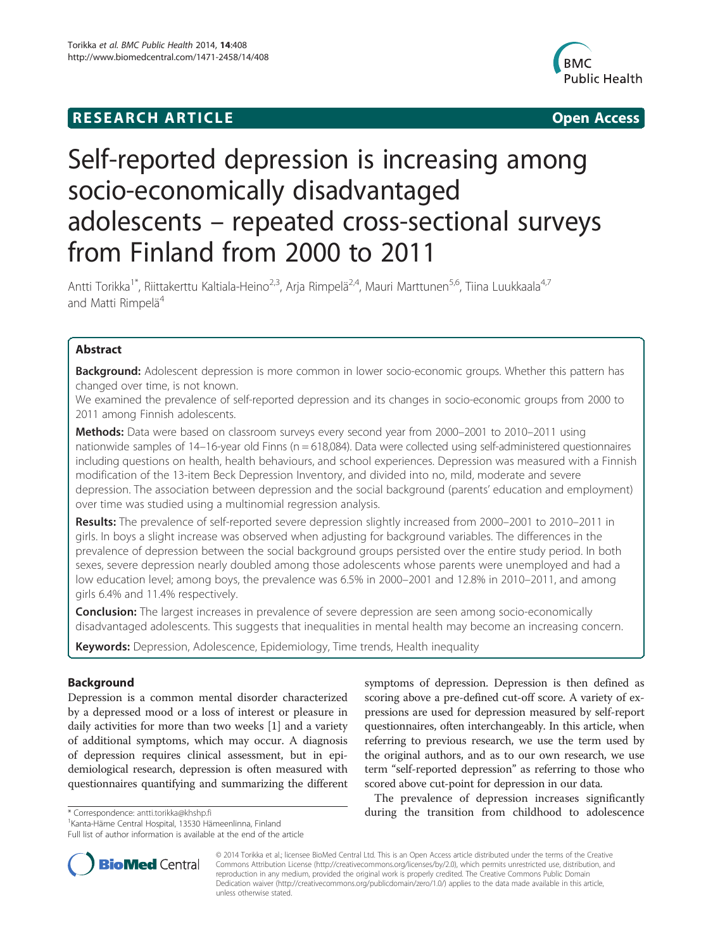## **RESEARCH ARTICLE Example 2014 CONSIDERING CONSIDERING CONSIDERING CONSIDERING CONSIDERING CONSIDERING CONSIDERING CONSIDERING CONSIDERING CONSIDERING CONSIDERING CONSIDERING CONSIDERING CONSIDERING CONSIDERING CONSIDE**



# Self-reported depression is increasing among socio-economically disadvantaged adolescents – repeated cross-sectional surveys from Finland from 2000 to 2011

Antti Torikka<sup>1\*</sup>, Riittakerttu Kaltiala-Heino<sup>2,3</sup>, Arja Rimpelä<sup>2,4</sup>, Mauri Marttunen<sup>5,6</sup>, Tiina Luukkaala<sup>4,7</sup> and Matti Rimpelä<sup>4</sup>

## Abstract

Background: Adolescent depression is more common in lower socio-economic groups. Whether this pattern has changed over time, is not known.

We examined the prevalence of self-reported depression and its changes in socio-economic groups from 2000 to 2011 among Finnish adolescents.

Methods: Data were based on classroom surveys every second year from 2000-2001 to 2010-2011 using nationwide samples of 14–16-year old Finns (n = 618,084). Data were collected using self-administered questionnaires including questions on health, health behaviours, and school experiences. Depression was measured with a Finnish modification of the 13-item Beck Depression Inventory, and divided into no, mild, moderate and severe depression. The association between depression and the social background (parents' education and employment) over time was studied using a multinomial regression analysis.

Results: The prevalence of self-reported severe depression slightly increased from 2000–2001 to 2010–2011 in girls. In boys a slight increase was observed when adjusting for background variables. The differences in the prevalence of depression between the social background groups persisted over the entire study period. In both sexes, severe depression nearly doubled among those adolescents whose parents were unemployed and had a low education level; among boys, the prevalence was 6.5% in 2000–2001 and 12.8% in 2010–2011, and among girls 6.4% and 11.4% respectively.

**Conclusion:** The largest increases in prevalence of severe depression are seen among socio-economically disadvantaged adolescents. This suggests that inequalities in mental health may become an increasing concern.

Keywords: Depression, Adolescence, Epidemiology, Time trends, Health inequality

## Background

Depression is a common mental disorder characterized by a depressed mood or a loss of interest or pleasure in daily activities for more than two weeks [[1\]](#page-9-0) and a variety of additional symptoms, which may occur. A diagnosis of depression requires clinical assessment, but in epidemiological research, depression is often measured with questionnaires quantifying and summarizing the different

<sup>1</sup> Kanta-Häme Central Hospital, 13530 Hämeenlinna, Finland

Full list of author information is available at the end of the article

symptoms of depression. Depression is then defined as scoring above a pre-defined cut-off score. A variety of expressions are used for depression measured by self-report questionnaires, often interchangeably. In this article, when referring to previous research, we use the term used by the original authors, and as to our own research, we use term "self-reported depression" as referring to those who scored above cut-point for depression in our data.

The prevalence of depression increases significantly \* Correspondence: [antti.torikka@khshp.fi](mailto:antti.torikka@khshp.fi) during the transition from childhood to adolescence <sup>1</sup>



© 2014 Torikka et al.; licensee BioMed Central Ltd. This is an Open Access article distributed under the terms of the Creative Commons Attribution License [\(http://creativecommons.org/licenses/by/2.0\)](http://creativecommons.org/licenses/by/2.0), which permits unrestricted use, distribution, and reproduction in any medium, provided the original work is properly credited. The Creative Commons Public Domain Dedication waiver [\(http://creativecommons.org/publicdomain/zero/1.0/](http://creativecommons.org/publicdomain/zero/1.0/)) applies to the data made available in this article, unless otherwise stated.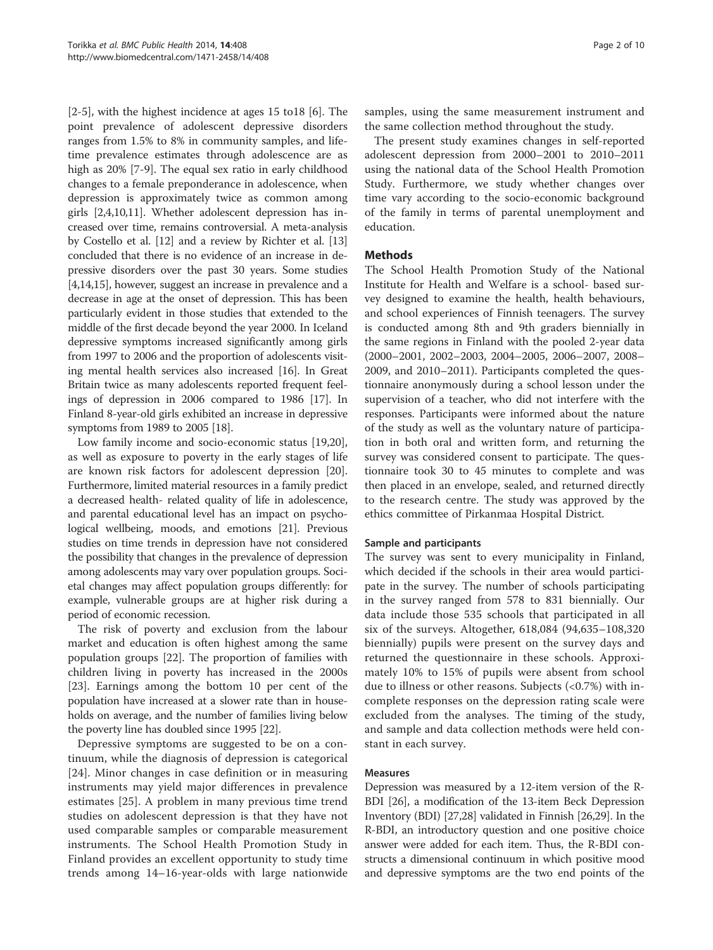[[2-5](#page-9-0)], with the highest incidence at ages 15 to18 [\[6\]](#page-9-0). The point prevalence of adolescent depressive disorders ranges from 1.5% to 8% in community samples, and lifetime prevalence estimates through adolescence are as high as 20% [\[7-9](#page-9-0)]. The equal sex ratio in early childhood changes to a female preponderance in adolescence, when depression is approximately twice as common among girls [\[2,4,10,11](#page-9-0)]. Whether adolescent depression has increased over time, remains controversial. A meta-analysis by Costello et al. [[12](#page-9-0)] and a review by Richter et al. [[13](#page-9-0)] concluded that there is no evidence of an increase in depressive disorders over the past 30 years. Some studies [[4,14,15\]](#page-9-0), however, suggest an increase in prevalence and a decrease in age at the onset of depression. This has been particularly evident in those studies that extended to the middle of the first decade beyond the year 2000. In Iceland depressive symptoms increased significantly among girls from 1997 to 2006 and the proportion of adolescents visiting mental health services also increased [[16](#page-9-0)]. In Great Britain twice as many adolescents reported frequent feelings of depression in 2006 compared to 1986 [\[17\]](#page-9-0). In Finland 8-year-old girls exhibited an increase in depressive symptoms from 1989 to 2005 [\[18\]](#page-10-0).

Low family income and socio-economic status [\[19,20](#page-10-0)], as well as exposure to poverty in the early stages of life are known risk factors for adolescent depression [\[20](#page-10-0)]. Furthermore, limited material resources in a family predict a decreased health- related quality of life in adolescence, and parental educational level has an impact on psychological wellbeing, moods, and emotions [[21](#page-10-0)]. Previous studies on time trends in depression have not considered the possibility that changes in the prevalence of depression among adolescents may vary over population groups. Societal changes may affect population groups differently: for example, vulnerable groups are at higher risk during a period of economic recession.

The risk of poverty and exclusion from the labour market and education is often highest among the same population groups [\[22\]](#page-10-0). The proportion of families with children living in poverty has increased in the 2000s [[23\]](#page-10-0). Earnings among the bottom 10 per cent of the population have increased at a slower rate than in households on average, and the number of families living below the poverty line has doubled since 1995 [\[22\]](#page-10-0).

Depressive symptoms are suggested to be on a continuum, while the diagnosis of depression is categorical [[24\]](#page-10-0). Minor changes in case definition or in measuring instruments may yield major differences in prevalence estimates [\[25](#page-10-0)]. A problem in many previous time trend studies on adolescent depression is that they have not used comparable samples or comparable measurement instruments. The School Health Promotion Study in Finland provides an excellent opportunity to study time trends among 14–16-year-olds with large nationwide samples, using the same measurement instrument and the same collection method throughout the study.

The present study examines changes in self-reported adolescent depression from 2000–2001 to 2010–2011 using the national data of the School Health Promotion Study. Furthermore, we study whether changes over time vary according to the socio-economic background of the family in terms of parental unemployment and education.

## **Methods**

The School Health Promotion Study of the National Institute for Health and Welfare is a school- based survey designed to examine the health, health behaviours, and school experiences of Finnish teenagers. The survey is conducted among 8th and 9th graders biennially in the same regions in Finland with the pooled 2-year data (2000–2001, 2002–2003, 2004–2005, 2006–2007, 2008– 2009, and 2010–2011). Participants completed the questionnaire anonymously during a school lesson under the supervision of a teacher, who did not interfere with the responses. Participants were informed about the nature of the study as well as the voluntary nature of participation in both oral and written form, and returning the survey was considered consent to participate. The questionnaire took 30 to 45 minutes to complete and was then placed in an envelope, sealed, and returned directly to the research centre. The study was approved by the ethics committee of Pirkanmaa Hospital District.

## Sample and participants

The survey was sent to every municipality in Finland, which decided if the schools in their area would participate in the survey. The number of schools participating in the survey ranged from 578 to 831 biennially. Our data include those 535 schools that participated in all six of the surveys. Altogether, 618,084 (94,635–108,320 biennially) pupils were present on the survey days and returned the questionnaire in these schools. Approximately 10% to 15% of pupils were absent from school due to illness or other reasons. Subjects (<0.7%) with incomplete responses on the depression rating scale were excluded from the analyses. The timing of the study, and sample and data collection methods were held constant in each survey.

#### Measures

Depression was measured by a 12-item version of the R-BDI [[26](#page-10-0)], a modification of the 13-item Beck Depression Inventory (BDI) [\[27,28](#page-10-0)] validated in Finnish [\[26,29\]](#page-10-0). In the R-BDI, an introductory question and one positive choice answer were added for each item. Thus, the R-BDI constructs a dimensional continuum in which positive mood and depressive symptoms are the two end points of the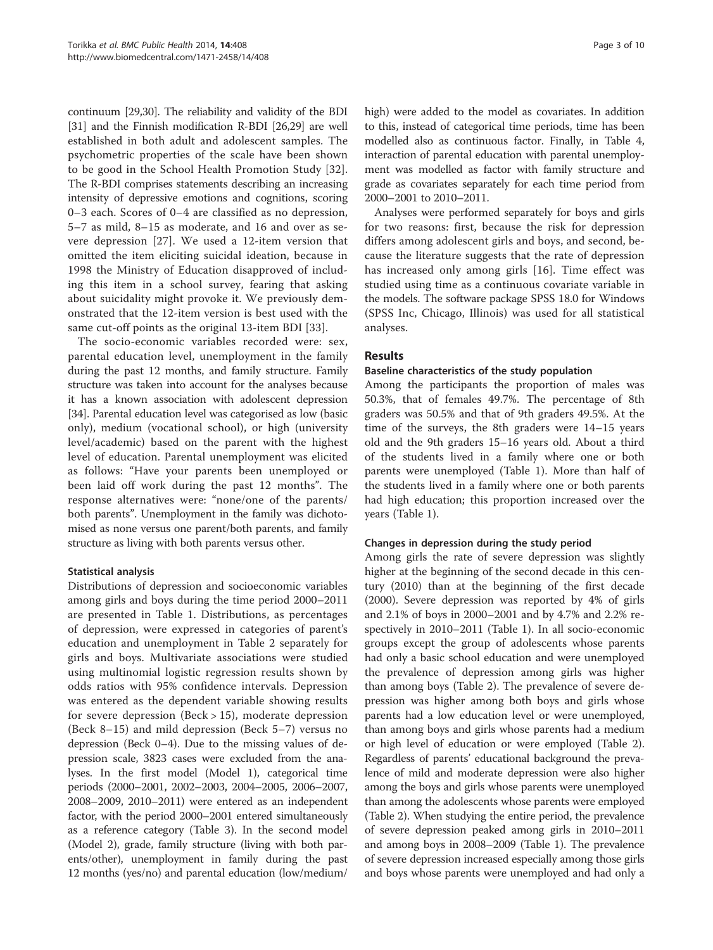continuum [\[29,30\]](#page-10-0). The reliability and validity of the BDI [[31](#page-10-0)] and the Finnish modification R-BDI [\[26,29\]](#page-10-0) are well established in both adult and adolescent samples. The psychometric properties of the scale have been shown to be good in the School Health Promotion Study [\[32](#page-10-0)]. The R-BDI comprises statements describing an increasing intensity of depressive emotions and cognitions, scoring 0–3 each. Scores of 0–4 are classified as no depression, 5–7 as mild, 8–15 as moderate, and 16 and over as severe depression [[27\]](#page-10-0). We used a 12-item version that omitted the item eliciting suicidal ideation, because in 1998 the Ministry of Education disapproved of including this item in a school survey, fearing that asking about suicidality might provoke it. We previously demonstrated that the 12-item version is best used with the same cut-off points as the original 13-item BDI [[33\]](#page-10-0).

The socio-economic variables recorded were: sex, parental education level, unemployment in the family during the past 12 months, and family structure. Family structure was taken into account for the analyses because it has a known association with adolescent depression [[34](#page-10-0)]. Parental education level was categorised as low (basic only), medium (vocational school), or high (university level/academic) based on the parent with the highest level of education. Parental unemployment was elicited as follows: "Have your parents been unemployed or been laid off work during the past 12 months". The response alternatives were: "none/one of the parents/ both parents". Unemployment in the family was dichotomised as none versus one parent/both parents, and family structure as living with both parents versus other.

## Statistical analysis

Distributions of depression and socioeconomic variables among girls and boys during the time period 2000–2011 are presented in Table [1.](#page-4-0) Distributions, as percentages of depression, were expressed in categories of parent's education and unemployment in Table [2](#page-5-0) separately for girls and boys. Multivariate associations were studied using multinomial logistic regression results shown by odds ratios with 95% confidence intervals. Depression was entered as the dependent variable showing results for severe depression (Beck  $> 15$ ), moderate depression (Beck 8–15) and mild depression (Beck 5–7) versus no depression (Beck 0–4). Due to the missing values of depression scale, 3823 cases were excluded from the analyses. In the first model (Model 1), categorical time periods (2000–2001, 2002–2003, 2004–2005, 2006–2007, 2008–2009, 2010–2011) were entered as an independent factor, with the period 2000–2001 entered simultaneously as a reference category (Table [3\)](#page-6-0). In the second model (Model 2), grade, family structure (living with both parents/other), unemployment in family during the past 12 months (yes/no) and parental education (low/medium/ high) were added to the model as covariates. In addition to this, instead of categorical time periods, time has been modelled also as continuous factor. Finally, in Table [4](#page-6-0), interaction of parental education with parental unemployment was modelled as factor with family structure and grade as covariates separately for each time period from 2000–2001 to 2010–2011.

Analyses were performed separately for boys and girls for two reasons: first, because the risk for depression differs among adolescent girls and boys, and second, because the literature suggests that the rate of depression has increased only among girls [[16\]](#page-9-0). Time effect was studied using time as a continuous covariate variable in the models. The software package SPSS 18.0 for Windows (SPSS Inc, Chicago, Illinois) was used for all statistical analyses.

## Results

## Baseline characteristics of the study population

Among the participants the proportion of males was 50.3%, that of females 49.7%. The percentage of 8th graders was 50.5% and that of 9th graders 49.5%. At the time of the surveys, the 8th graders were 14–15 years old and the 9th graders 15–16 years old. About a third of the students lived in a family where one or both parents were unemployed (Table [1](#page-4-0)). More than half of the students lived in a family where one or both parents had high education; this proportion increased over the years (Table [1\)](#page-4-0).

## Changes in depression during the study period

Among girls the rate of severe depression was slightly higher at the beginning of the second decade in this century (2010) than at the beginning of the first decade (2000). Severe depression was reported by 4% of girls and 2.1% of boys in 2000–2001 and by 4.7% and 2.2% respectively in 2010–2011 (Table [1\)](#page-4-0). In all socio-economic groups except the group of adolescents whose parents had only a basic school education and were unemployed the prevalence of depression among girls was higher than among boys (Table [2\)](#page-5-0). The prevalence of severe depression was higher among both boys and girls whose parents had a low education level or were unemployed, than among boys and girls whose parents had a medium or high level of education or were employed (Table [2](#page-5-0)). Regardless of parents' educational background the prevalence of mild and moderate depression were also higher among the boys and girls whose parents were unemployed than among the adolescents whose parents were employed (Table [2](#page-5-0)). When studying the entire period, the prevalence of severe depression peaked among girls in 2010–2011 and among boys in 2008–2009 (Table [1\)](#page-4-0). The prevalence of severe depression increased especially among those girls and boys whose parents were unemployed and had only a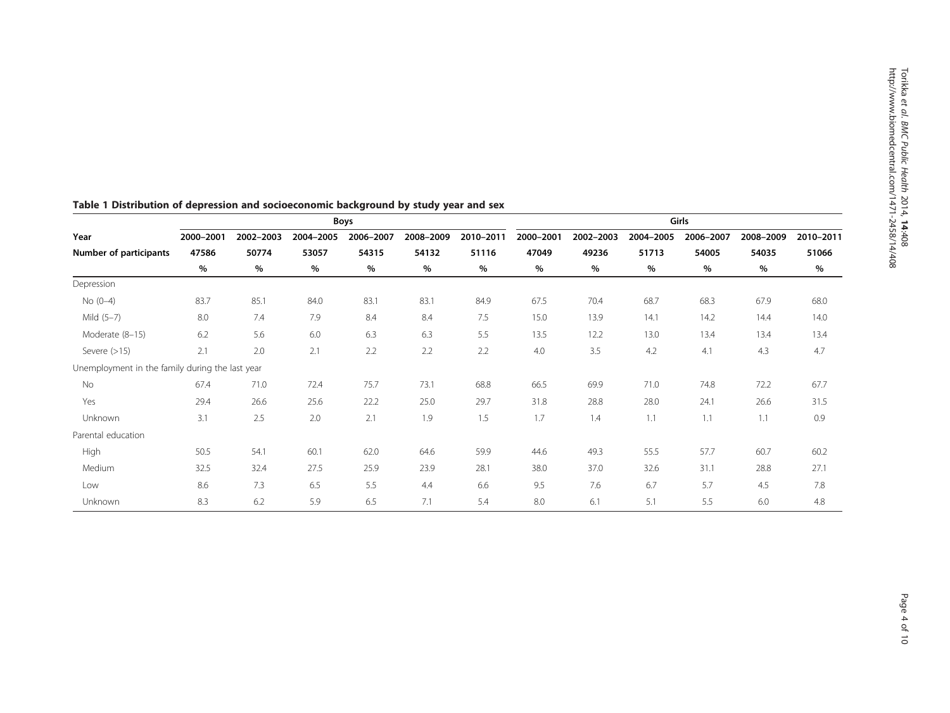Torikka

et al. BMC Public Health

2014, 14:408

|                                                 | <b>Boys</b> |           |           |                    |                    |                    |                    | Girls              |                    |                    |           |           |  |
|-------------------------------------------------|-------------|-----------|-----------|--------------------|--------------------|--------------------|--------------------|--------------------|--------------------|--------------------|-----------|-----------|--|
| Year                                            | 2000-2001   | 2002-2003 | 2004-2005 | 2006-2007<br>54315 | 2008-2009<br>54132 | 2010-2011<br>51116 | 2000-2001<br>47049 | 2002-2003<br>49236 | 2004-2005<br>51713 | 2006-2007<br>54005 | 2008-2009 | 2010-2011 |  |
| <b>Number of participants</b>                   | 47586       | 50774     | 53057     |                    |                    |                    |                    |                    |                    |                    | 54035     | 51066     |  |
|                                                 | %           | %         | %         | %                  | %                  | %                  | %                  | %                  | %                  | %                  | %         | %         |  |
| Depression                                      |             |           |           |                    |                    |                    |                    |                    |                    |                    |           |           |  |
| $No (0-4)$                                      | 83.7        | 85.1      | 84.0      | 83.1               | 83.1               | 84.9               | 67.5               | 70.4               | 68.7               | 68.3               | 67.9      | 68.0      |  |
| Mild (5-7)                                      | 8.0         | 7.4       | 7.9       | 8.4                | 8.4                | 7.5                | 15.0               | 13.9               | 14.1               | 14.2               | 14.4      | 14.0      |  |
| Moderate (8-15)                                 | 6.2         | 5.6       | 6.0       | 6.3                | 6.3                | 5.5                | 13.5               | 12.2               | 13.0               | 13.4               | 13.4      | 13.4      |  |
| Severe $(>15)$                                  | 2.1         | 2.0       | 2.1       | 2.2                | 2.2                | 2.2                | 4.0                | 3.5                | 4.2                | 4.1                | 4.3       | 4.7       |  |
| Unemployment in the family during the last year |             |           |           |                    |                    |                    |                    |                    |                    |                    |           |           |  |
| No                                              | 67.4        | 71.0      | 72.4      | 75.7               | 73.1               | 68.8               | 66.5               | 69.9               | 71.0               | 74.8               | 72.2      | 67.7      |  |
| Yes                                             | 29.4        | 26.6      | 25.6      | 22.2               | 25.0               | 29.7               | 31.8               | 28.8               | 28.0               | 24.1               | 26.6      | 31.5      |  |
| Unknown                                         | 3.1         | 2.5       | 2.0       | 2.1                | 1.9                | 1.5                | 1.7                | 1.4                | 1.1                | 1.1                | 1.1       | 0.9       |  |
| Parental education                              |             |           |           |                    |                    |                    |                    |                    |                    |                    |           |           |  |
| High                                            | 50.5        | 54.1      | 60.1      | 62.0               | 64.6               | 59.9               | 44.6               | 49.3               | 55.5               | 57.7               | 60.7      | 60.2      |  |
| Medium                                          | 32.5        | 32.4      | 27.5      | 25.9               | 23.9               | 28.1               | 38.0               | 37.0               | 32.6               | 31.1               | 28.8      | 27.1      |  |
| Low                                             | 8.6         | 7.3       | 6.5       | 5.5                | 4.4                | 6.6                | 9.5                | 7.6                | 6.7                | 5.7                | 4.5       | 7.8       |  |
| Unknown                                         | 8.3         | 6.2       | 5.9       | 6.5                | 7.1                | 5.4                | 8.0                | 6.1                | 5.1                | 5.5                | 6.0       | 4.8       |  |

## <span id="page-4-0"></span>Table <sup>1</sup> Distribution of depression and socioeconomic background by study year and sex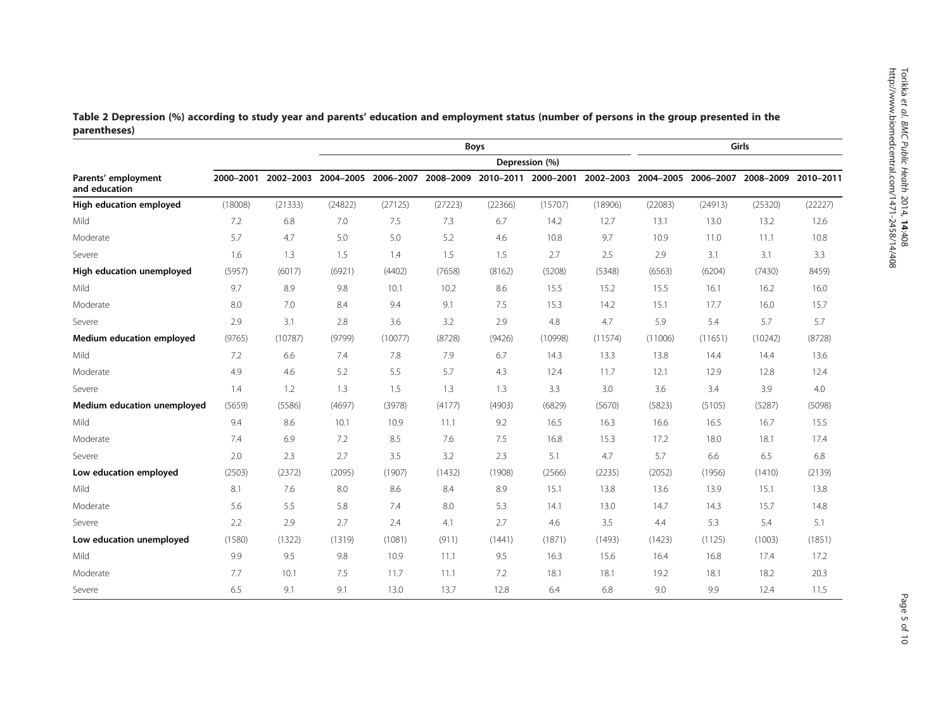|                                      |           |         | <b>Boys</b>                   |         |           |         |                     |           |         | Girls               |         |                     |  |
|--------------------------------------|-----------|---------|-------------------------------|---------|-----------|---------|---------------------|-----------|---------|---------------------|---------|---------------------|--|
|                                      |           |         |                               |         |           |         | Depression (%)      |           |         |                     |         |                     |  |
| Parents' employment<br>and education | 2000-2001 |         | 2002-2003 2004-2005 2006-2007 |         | 2008-2009 |         | 2010-2011 2000-2001 | 2002-2003 |         | 2004-2005 2006-2007 |         | 2008-2009 2010-2011 |  |
| High education employed              | (18008)   | (21333) | (24822)                       | (27125) | (27223)   | (22366) | (15707)             | (18906)   | (22083) | (24913)             | (25320) | (22227)             |  |
| Mild                                 | 7.2       | 6.8     | 7.0                           | 7.5     | 7.3       | 6.7     | 14.2                | 12.7      | 13.1    | 13.0                | 13.2    | 12.6                |  |
| Moderate                             | 5.7       | 4.7     | 5.0                           | 5.0     | 5.2       | 4.6     | 10.8                | 9.7       | 10.9    | 11.0                | 11.1    | 10.8                |  |
| Severe                               | 1.6       | 1.3     | 1.5                           | 1.4     | 1.5       | 1.5     | 2.7                 | 2.5       | 2.9     | 3.1                 | 3.1     | 3.3                 |  |
| High education unemployed            | (5957)    | (6017)  | (6921)                        | (4402)  | (7658)    | (8162)  | (5208)              | (5348)    | (6563)  | (6204)              | (7430)  | 8459)               |  |
| Mild                                 | 9.7       | 8.9     | 9.8                           | 10.1    | 10.2      | 8.6     | 15.5                | 15.2      | 15.5    | 16.1                | 16.2    | 16.0                |  |
| Moderate                             | 8.0       | 7.0     | 8.4                           | 9.4     | 9.1       | 7.5     | 15.3                | 14.2      | 15.1    | 17.7                | 16.0    | 15.7                |  |
| Severe                               | 2.9       | 3.1     | 2.8                           | 3.6     | 3.2       | 2.9     | 4.8                 | 4.7       | 5.9     | 5.4                 | 5.7     | 5.7                 |  |
| Medium education employed            | (9765)    | (10787) | (9799)                        | (10077) | (8728)    | (9426)  | (10998)             | (11574)   | (11006) | (11651)             | (10242) | (8728)              |  |
| Mild                                 | 7.2       | 6.6     | 7.4                           | 7.8     | 7.9       | 6.7     | 14.3                | 13.3      | 13.8    | 14.4                | 14.4    | 13.6                |  |
| Moderate                             | 4.9       | 4.6     | 5.2                           | 5.5     | 5.7       | 4.3     | 12.4                | 11.7      | 12.1    | 12.9                | 12.8    | 12.4                |  |
| Severe                               | 1.4       | 1.2     | 1.3                           | 1.5     | 1.3       | 1.3     | 3.3                 | 3.0       | 3.6     | 3.4                 | 3.9     | 4.0                 |  |
| Medium education unemployed          | (5659)    | (5586)  | (4697)                        | (3978)  | (4177)    | (4903)  | (6829)              | (5670)    | (5823)  | (5105)              | (5287)  | (5098)              |  |
| Mild                                 | 9.4       | 8.6     | 10.1                          | 10.9    | 11.1      | 9.2     | 16.5                | 16.3      | 16.6    | 16.5                | 16.7    | 15.5                |  |
| Moderate                             | 7.4       | 6.9     | 7.2                           | 8.5     | 7.6       | 7.5     | 16.8                | 15.3      | 17.2    | 18.0                | 18.1    | 17.4                |  |
| Severe                               | 2.0       | 2.3     | 2.7                           | 3.5     | 3.2       | 2.3     | 5.1                 | 4.7       | 5.7     | 6.6                 | 6.5     | 6.8                 |  |
| Low education employed               | (2503)    | (2372)  | (2095)                        | (1907)  | (1432)    | (1908)  | (2566)              | (2235)    | (2052)  | (1956)              | (1410)  | (2139)              |  |
| Mild                                 | 8.1       | 7.6     | 8.0                           | 8.6     | 8.4       | 8.9     | 15.1                | 13.8      | 13.6    | 13.9                | 15.1    | 13.8                |  |
| Moderate                             | 5.6       | 5.5     | 5.8                           | 7.4     | 8.0       | 5.3     | 14.1                | 13.0      | 14.7    | 14.3                | 15.7    | 14.8                |  |
| Severe                               | 2.2       | 2.9     | 2.7                           | 2.4     | 4.1       | 2.7     | 4.6                 | 3.5       | 4.4     | 5.3                 | 5.4     | 5.1                 |  |
| Low education unemployed             | (1580)    | (1322)  | (1319)                        | (1081)  | (911)     | (1441)  | (1871)              | (1493)    | (1423)  | (1125)              | (1003)  | (1851)              |  |
| Mild                                 | 9.9       | 9.5     | 9.8                           | 10.9    | 11.1      | 9.5     | 16.3                | 15.6      | 16.4    | 16.8                | 17.4    | 17.2                |  |
| Moderate                             | 7.7       | 10.1    | 7.5                           | 11.7    | 11.1      | 7.2     | 18.1                | 18.1      | 19.2    | 18.1                | 18.2    | 20.3                |  |
| Severe                               | 6.5       | 9.1     | 9.1                           | 13.0    | 13.7      | 12.8    | 6.4                 | 6.8       | 9.0     | 9.9                 | 12.4    | 11.5                |  |

<span id="page-5-0"></span>Table 2 Depression (%) according to study year and parents' education and employment status (number of persons in the group presented in the parentheses)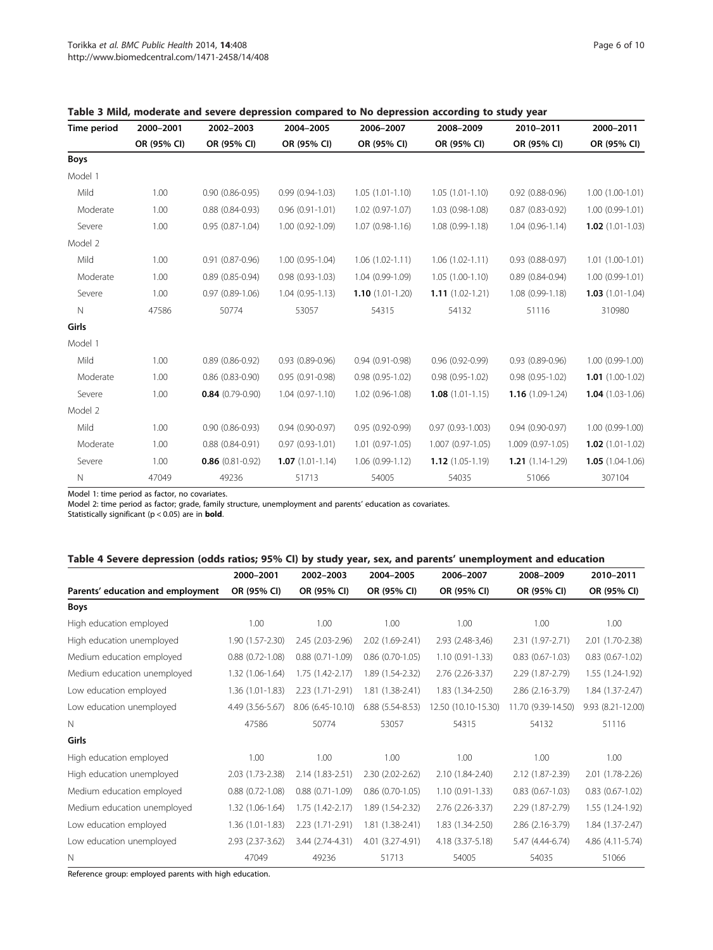| Time period | 2000-2001   | 2002-2003           | 2004-2005           | 2006-2007           | 2008-2009            | 2010-2011           | 2000-2011         |
|-------------|-------------|---------------------|---------------------|---------------------|----------------------|---------------------|-------------------|
|             | OR (95% CI) | OR (95% CI)         | OR (95% CI)         | OR (95% CI)         | OR (95% CI)          | OR (95% CI)         | OR (95% CI)       |
| <b>Boys</b> |             |                     |                     |                     |                      |                     |                   |
| Model 1     |             |                     |                     |                     |                      |                     |                   |
| Mild        | 1.00        | $0.90(0.86 - 0.95)$ | $0.99(0.94-1.03)$   | $1.05(1.01-1.10)$   | $1.05(1.01-1.10)$    | $0.92(0.88-0.96)$   | $1.00(1.00-1.01)$ |
| Moderate    | 1.00        | $0.88(0.84 - 0.93)$ | $0.96(0.91 - 1.01)$ | $1.02(0.97-1.07)$   | 1.03 (0.98-1.08)     | $0.87(0.83 - 0.92)$ | $1.00(0.99-1.01)$ |
| Severe      | 1.00        | $0.95(0.87-1.04)$   | 1.00 (0.92-1.09)    | $1.07(0.98-1.16)$   | $1.08(0.99-1.18)$    | $1.04(0.96 - 1.14)$ | $1.02(1.01-1.03)$ |
| Model 2     |             |                     |                     |                     |                      |                     |                   |
| Mild        | 1.00        | $0.91(0.87 - 0.96)$ | $1.00(0.95 - 1.04)$ | $1.06(1.02-1.11)$   | $1.06(1.02-1.11)$    | $0.93(0.88-0.97)$   | $1.01(1.00-1.01)$ |
| Moderate    | 1.00        | $0.89(0.85 - 0.94)$ | $0.98(0.93 - 1.03)$ | 1.04 (0.99-1.09)    | $1.05(1.00-1.10)$    | $0.89(0.84 - 0.94)$ | $1.00(0.99-1.01)$ |
| Severe      | 1.00        | $0.97(0.89 - 1.06)$ | $1.04(0.95-1.13)$   | $1.10(1.01-1.20)$   | $1.11(1.02-1.21)$    | 1.08 (0.99-1.18)    | $1.03(1.01-1.04)$ |
| $\mathbb N$ | 47586       | 50774               | 53057               | 54315               | 54132                | 51116               | 310980            |
| Girls       |             |                     |                     |                     |                      |                     |                   |
| Model 1     |             |                     |                     |                     |                      |                     |                   |
| Mild        | 1.00        | $0.89(0.86 - 0.92)$ | $0.93(0.89 - 0.96)$ | 0.94 (0.91-0.98)    | $0.96(0.92 - 0.99)$  | $0.93(0.89 - 0.96)$ | $1.00(0.99-1.00)$ |
| Moderate    | 1.00        | $0.86$ (0.83-0.90)  | 0.95 (0.91-0.98)    | $0.98(0.95-1.02)$   | $0.98(0.95-1.02)$    | $0.98(0.95 - 1.02)$ | $1.01(1.00-1.02)$ |
| Severe      | 1.00        | $0.84$ (0.79-0.90)  | $1.04(0.97-1.10)$   | 1.02 (0.96-1.08)    | $1.08(1.01-1.15)$    | $1.16(1.09-1.24)$   | $1.04(1.03-1.06)$ |
| Model 2     |             |                     |                     |                     |                      |                     |                   |
| Mild        | 1.00        | $0.90(0.86 - 0.93)$ | $0.94(0.90-0.97)$   | $0.95(0.92 - 0.99)$ | $0.97(0.93 - 1.003)$ | $0.94(0.90-0.97)$   | $1.00(0.99-1.00)$ |
| Moderate    | 1.00        | $0.88(0.84 - 0.91)$ | $0.97(0.93 - 1.01)$ | $1.01(0.97-1.05)$   | 1.007 (0.97-1.05)    | 1.009 (0.97-1.05)   | $1.02(1.01-1.02)$ |
| Severe      | 1.00        | $0.86$ (0.81-0.92)  | $1.07(1.01-1.14)$   | 1.06 (0.99-1.12)    | $1.12(1.05-1.19)$    | $1.21(1.14-1.29)$   | $1.05(1.04-1.06)$ |
| Ν           | 47049       | 49236               | 51713               | 54005               | 54035                | 51066               | 307104            |

<span id="page-6-0"></span>Table 3 Mild, moderate and severe depression compared to No depression according to study year

Model 1: time period as factor, no covariates.

Model 2: time period as factor; grade, family structure, unemployment and parents' education as covariates.

Statistically significant ( $p < 0.05$ ) are in **bold**.

## Table 4 Severe depression (odds ratios; 95% CI) by study year, sex, and parents' unemployment and education

|                                   | 2000-2001              | 2002-2003              | 2004-2005           | 2006-2007           | 2008-2009          | 2010-2011              |
|-----------------------------------|------------------------|------------------------|---------------------|---------------------|--------------------|------------------------|
| Parents' education and employment | OR (95% CI)            | OR (95% CI)            | OR (95% CI)         | OR (95% CI)         | OR (95% CI)        | OR (95% CI)            |
| <b>Boys</b>                       |                        |                        |                     |                     |                    |                        |
| High education employed           | 1.00                   | 1.00                   | 1.00                | 1.00                | 1.00               | 1.00                   |
| High education unemployed         | 1.90 (1.57-2.30)       | 2.45 (2.03-2.96)       | 2.02 (1.69-2.41)    | 2.93 (2.48-3,46)    | 2.31 (1.97-2.71)   | 2.01 (1.70-2.38)       |
| Medium education employed         | $0.88$ $(0.72 - 1.08)$ | $0.88$ $(0.71 - 1.09)$ | $0.86$ (0.70-1.05)  | $1.10(0.91 - 1.33)$ | $0.83(0.67-1.03)$  | $0.83$ $(0.67 - 1.02)$ |
| Medium education unemployed       | 1.32 (1.06-1.64)       | 1.75 (1.42-2.17)       | 1.89 (1.54-2.32)    | 2.76 (2.26-3.37)    | 2.29 (1.87-2.79)   | 1.55 (1.24-1.92)       |
| Low education employed            | $1.36(1.01-1.83)$      | 2.23 (1.71-2.91)       | 1.81 (1.38-2.41)    | $1.83(1.34-2.50)$   | 2.86 (2.16-3.79)   | 1.84 (1.37-2.47)       |
| Low education unemployed          | 4.49 (3.56-5.67)       | 8.06 (6.45-10.10)      | $6.88(5.54-8.53)$   | 12.50 (10.10-15.30) | 11.70 (9.39-14.50) | 9.93 (8.21-12.00)      |
| N                                 | 47586                  | 50774                  | 53057               | 54315               | 54132              | 51116                  |
| Girls                             |                        |                        |                     |                     |                    |                        |
| High education employed           | 1.00                   | 1.00                   | 1.00                | 1.00                | 1.00               | 1.00                   |
| High education unemployed         | 2.03 (1.73-2.38)       | 2.14 (1.83-2.51)       | $2.30(2.02 - 2.62)$ | 2.10 (1.84-2.40)    | 2.12 (1.87-2.39)   | 2.01 (1.78-2.26)       |
| Medium education employed         | $0.88$ $(0.72 - 1.08)$ | $0.88$ $(0.71 - 1.09)$ | $0.86$ (0.70-1.05)  | $1.10(0.91-1.33)$   | $0.83(0.67-1.03)$  | $0.83$ $(0.67 - 1.02)$ |
| Medium education unemployed       | 1.32 (1.06-1.64)       | $1.75(1.42 - 2.17)$    | 1.89 (1.54-2.32)    | 2.76 (2.26-3.37)    | 2.29 (1.87-2.79)   | 1.55 (1.24-1.92)       |
| Low education employed            | $1.36(1.01-1.83)$      | 2.23 (1.71-2.91)       | $1.81(1.38-2.41)$   | $1.83(1.34-2.50)$   | 2.86 (2.16-3.79)   | 1.84 (1.37-2.47)       |
| Low education unemployed          | 2.93 (2.37-3.62)       | 3.44 (2.74-4.31)       | 4.01 (3.27-4.91)    | 4.18 (3.37-5.18)    | 5.47 (4.44-6.74)   | 4.86 (4.11-5.74)       |
| N                                 | 47049                  | 49236                  | 51713               | 54005               | 54035              | 51066                  |

Reference group: employed parents with high education.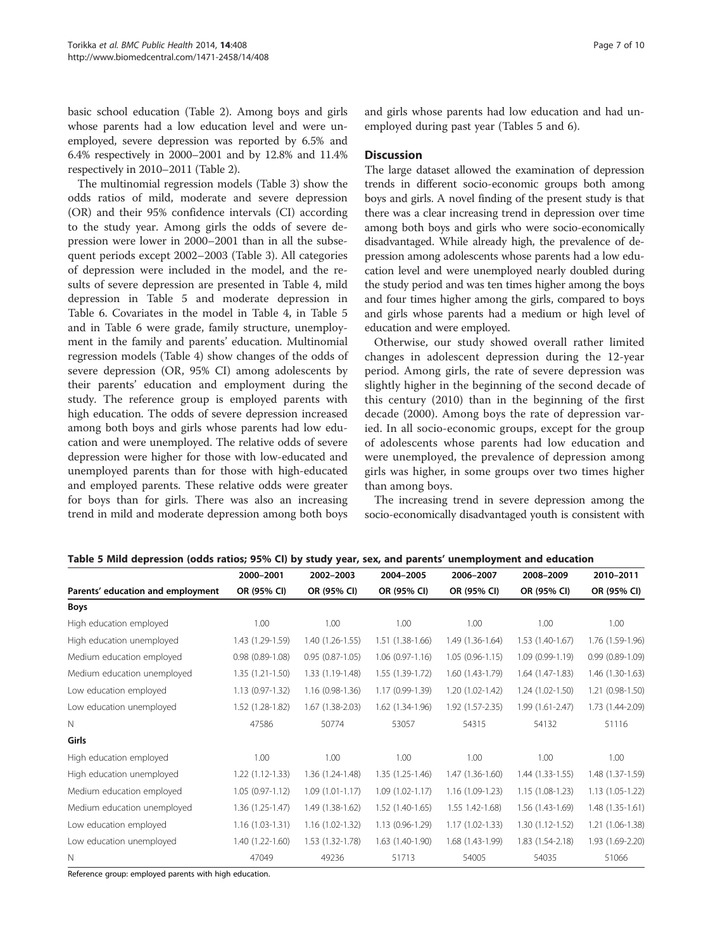basic school education (Table [2](#page-5-0)). Among boys and girls whose parents had a low education level and were unemployed, severe depression was reported by 6.5% and 6.4% respectively in 2000–2001 and by 12.8% and 11.4% respectively in 2010–2011 (Table [2](#page-5-0)).

The multinomial regression models (Table [3](#page-6-0)) show the odds ratios of mild, moderate and severe depression (OR) and their 95% confidence intervals (CI) according to the study year. Among girls the odds of severe depression were lower in 2000–2001 than in all the subsequent periods except 2002–2003 (Table [3\)](#page-6-0). All categories of depression were included in the model, and the results of severe depression are presented in Table [4,](#page-6-0) mild depression in Table 5 and moderate depression in Table [6.](#page-8-0) Covariates in the model in Table [4,](#page-6-0) in Table 5 and in Table [6](#page-8-0) were grade, family structure, unemployment in the family and parents' education. Multinomial regression models (Table [4](#page-6-0)) show changes of the odds of severe depression (OR, 95% CI) among adolescents by their parents' education and employment during the study. The reference group is employed parents with high education. The odds of severe depression increased among both boys and girls whose parents had low education and were unemployed. The relative odds of severe depression were higher for those with low-educated and unemployed parents than for those with high-educated and employed parents. These relative odds were greater for boys than for girls. There was also an increasing trend in mild and moderate depression among both boys and girls whose parents had low education and had unemployed during past year (Tables 5 and [6](#page-8-0)).

## **Discussion**

The large dataset allowed the examination of depression trends in different socio-economic groups both among boys and girls. A novel finding of the present study is that there was a clear increasing trend in depression over time among both boys and girls who were socio-economically disadvantaged. While already high, the prevalence of depression among adolescents whose parents had a low education level and were unemployed nearly doubled during the study period and was ten times higher among the boys and four times higher among the girls, compared to boys and girls whose parents had a medium or high level of education and were employed.

Otherwise, our study showed overall rather limited changes in adolescent depression during the 12-year period. Among girls, the rate of severe depression was slightly higher in the beginning of the second decade of this century (2010) than in the beginning of the first decade (2000). Among boys the rate of depression varied. In all socio-economic groups, except for the group of adolescents whose parents had low education and were unemployed, the prevalence of depression among girls was higher, in some groups over two times higher than among boys.

The increasing trend in severe depression among the socio-economically disadvantaged youth is consistent with

|                                   | 2000-2001         | 2002-2003           | 2004-2005           | 2006-2007           | 2008-2009         | 2010-2011         |
|-----------------------------------|-------------------|---------------------|---------------------|---------------------|-------------------|-------------------|
| Parents' education and employment | OR (95% CI)       | OR (95% CI)         | OR (95% CI)         | OR (95% CI)         | OR (95% CI)       | OR (95% CI)       |
| Boys                              |                   |                     |                     |                     |                   |                   |
| High education employed           | 1.00              | 1.00                | 1.00                | 1.00                | 1.00              | 1.00              |
| High education unemployed         | 1.43 (1.29-1.59)  | 1.40 (1.26-1.55)    | 1.51 (1.38-1.66)    | 1.49 (1.36-1.64)    | 1.53 (1.40-1.67)  | 1.76 (1.59-1.96)  |
| Medium education employed         | $0.98(0.89-1.08)$ | $0.95(0.87-1.05)$   | $1.06(0.97-1.16)$   | $1.05(0.96-1.15)$   | 1.09 (0.99-1.19)  | $0.99(0.89-1.09)$ |
| Medium education unemployed       | $1.35(1.21-1.50)$ | 1.33 (1.19-1.48)    | 1.55 (1.39-1.72)    | $1.60(1.43-1.79)$   | $1.64(1.47-1.83)$ | 1.46 (1.30-1.63)  |
| Low education employed            | 1.13 (0.97-1.32)  | $1.16(0.98-1.36)$   | 1.17 (0.99-1.39)    | $1.20(1.02 - 1.42)$ | $1.24(1.02-1.50)$ | 1.21 (0.98-1.50)  |
| Low education unemployed          | 1.52 (1.28-1.82)  | 1.67 (1.38-2.03)    | $1.62(1.34-1.96)$   | 1.92 (1.57-2.35)    | 1.99 (1.61-2.47)  | 1.73 (1.44-2.09)  |
| N                                 | 47586             | 50774               | 53057               | 54315               | 54132             | 51116             |
| Girls                             |                   |                     |                     |                     |                   |                   |
| High education employed           | 1.00              | 1.00                | 1.00                | 1.00                | 1.00              | 1.00              |
| High education unemployed         | $1.22(1.12-1.33)$ | 1.36 (1.24-1.48)    | $1.35(1.25-1.46)$   | 1.47 (1.36-1.60)    | $1.44(1.33-1.55)$ | 1.48 (1.37-1.59)  |
| Medium education employed         | $1.05(0.97-1.12)$ | $1.09(1.01 - 1.17)$ | $1.09(1.02 - 1.17)$ | 1.16 (1.09-1.23)    | $1.15(1.08-1.23)$ | 1.13 (1.05-1.22)  |
| Medium education unemployed       | $1.36(1.25-1.47)$ | 1.49 (1.38-1.62)    | $1.52(1.40-1.65)$   | 1.55 1.42-1.68)     | $1.56(1.43-1.69)$ | $1.48(1.35-1.61)$ |
| Low education employed            | $1.16(1.03-1.31)$ | $1.16(1.02-1.32)$   | 1.13 (0.96-1.29)    | $1.17(1.02 - 1.33)$ | $1.30(1.12-1.52)$ | 1.21 (1.06-1.38)  |
| Low education unemployed          | 1.40 (1.22-1.60)  | $1.53(1.32-1.78)$   | $1.63(1.40-1.90)$   | 1.68 (1.43-1.99)    | $1.83(1.54-2.18)$ | 1.93 (1.69-2.20)  |
| N                                 | 47049             | 49236               | 51713               | 54005               | 54035             | 51066             |

Reference group: employed parents with high education.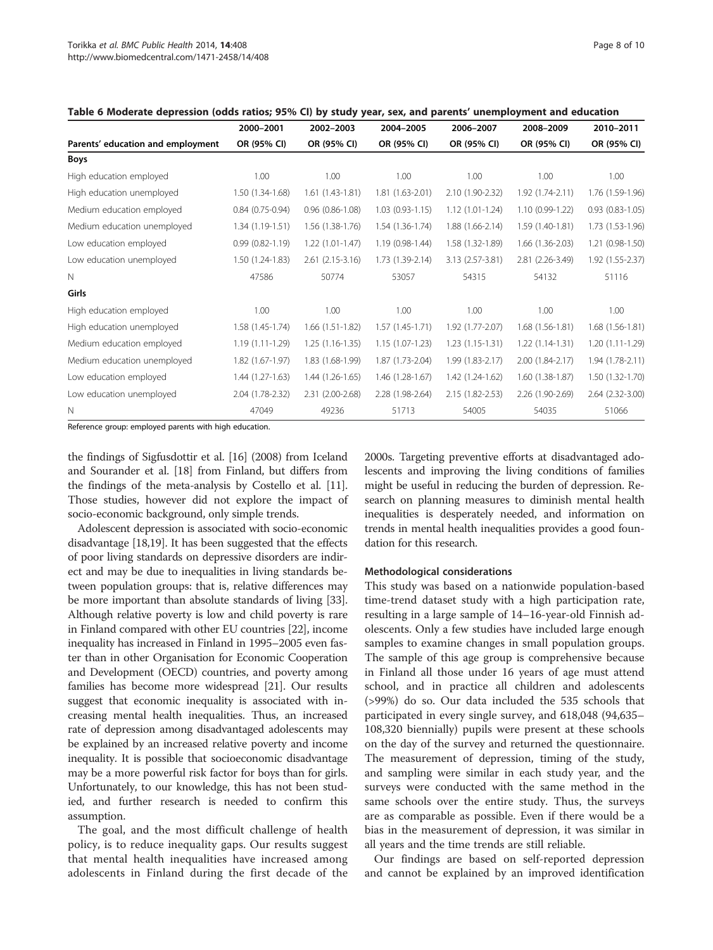<span id="page-8-0"></span>

|                                   | 2000-2001           | 2002-2003           | 2004-2005         | 2006-2007         | 2008-2009         | 2010-2011           |
|-----------------------------------|---------------------|---------------------|-------------------|-------------------|-------------------|---------------------|
| Parents' education and employment | OR (95% CI)         | OR (95% CI)         | OR (95% CI)       | OR (95% CI)       | OR (95% CI)       | OR (95% CI)         |
| <b>Boys</b>                       |                     |                     |                   |                   |                   |                     |
| High education employed           | 1.00                | 1.00                | 1.00              | 1.00              | 1.00              | 1.00                |
| High education unemployed         | 1.50 (1.34-1.68)    | $1.61(1.43-1.81)$   | $1.81(1.63-2.01)$ | 2.10 (1.90-2.32)  | 1.92 (1.74-2.11)  | 1.76 (1.59-1.96)    |
| Medium education employed         | $0.84(0.75-0.94)$   | $0.96(0.86 - 1.08)$ | $1.03(0.93-1.15)$ | $1.12(1.01-1.24)$ | 1.10 (0.99-1.22)  | $0.93(0.83 - 1.05)$ |
| Medium education unemployed       | 1.34 (1.19-1.51)    | $1.56(1.38-1.76)$   | $1.54(1.36-1.74)$ | 1.88 (1.66-2.14)  | 1.59 (1.40-1.81)  | 1.73 (1.53-1.96)    |
| Low education employed            | $0.99(0.82 - 1.19)$ | $1.22(1.01-1.47)$   | 1.19 (0.98-1.44)  | 1.58 (1.32-1.89)  | $1.66(1.36-2.03)$ | 1.21 (0.98-1.50)    |
| Low education unemployed          | 1.50 (1.24-1.83)    | $2.61(2.15-3.16)$   | 1.73 (1.39-2.14)  | 3.13 (2.57-3.81)  | 2.81 (2.26-3.49)  | 1.92 (1.55-2.37)    |
| N                                 | 47586               | 50774               | 53057             | 54315             | 54132             | 51116               |
| Girls                             |                     |                     |                   |                   |                   |                     |
| High education employed           | 1.00                | 1.00                | 1.00              | 1.00              | 1.00              | 1.00                |
| High education unemployed         | 1.58 (1.45-1.74)    | $1.66(1.51-1.82)$   | $1.57(1.45-1.71)$ | 1.92 (1.77-2.07)  | $1.68(1.56-1.81)$ | 1.68 (1.56-1.81)    |
| Medium education employed         | $1.19(1.11-1.29)$   | $1.25(1.16-1.35)$   | $1.15(1.07-1.23)$ | $1.23(1.15-1.31)$ | $1.22(1.14-1.31)$ | 1.20 (1.11-1.29)    |
| Medium education unemployed       | 1.82 (1.67-1.97)    | 1.83 (1.68-1.99)    | $1.87(1.73-2.04)$ | 1.99 (1.83-2.17)  | 2.00 (1.84-2.17)  | 1.94 (1.78-2.11)    |
| Low education employed            | $1.44(1.27-1.63)$   | $1.44(1.26-1.65)$   | $1.46(1.28-1.67)$ | 1.42 (1.24-1.62)  | $1.60(1.38-1.87)$ | 1.50 (1.32-1.70)    |
| Low education unemployed          | 2.04 (1.78-2.32)    | 2.31 (2.00-2.68)    | 2.28 (1.98-2.64)  | 2.15 (1.82-2.53)  | 2.26 (1.90-2.69)  | 2.64 (2.32-3.00)    |
| $\mathbb N$                       | 47049               | 49236               | 51713             | 54005             | 54035             | 51066               |

Reference group: employed parents with high education.

the findings of Sigfusdottir et al. [\[16\]](#page-9-0) (2008) from Iceland and Sourander et al. [\[18](#page-10-0)] from Finland, but differs from the findings of the meta-analysis by Costello et al. [[11](#page-9-0)]. Those studies, however did not explore the impact of socio-economic background, only simple trends.

Adolescent depression is associated with socio-economic disadvantage [[18,19\]](#page-10-0). It has been suggested that the effects of poor living standards on depressive disorders are indirect and may be due to inequalities in living standards between population groups: that is, relative differences may be more important than absolute standards of living [[33](#page-10-0)]. Although relative poverty is low and child poverty is rare in Finland compared with other EU countries [[22](#page-10-0)], income inequality has increased in Finland in 1995–2005 even faster than in other Organisation for Economic Cooperation and Development (OECD) countries, and poverty among families has become more widespread [[21](#page-10-0)]. Our results suggest that economic inequality is associated with increasing mental health inequalities. Thus, an increased rate of depression among disadvantaged adolescents may be explained by an increased relative poverty and income inequality. It is possible that socioeconomic disadvantage may be a more powerful risk factor for boys than for girls. Unfortunately, to our knowledge, this has not been studied, and further research is needed to confirm this assumption.

The goal, and the most difficult challenge of health policy, is to reduce inequality gaps. Our results suggest that mental health inequalities have increased among adolescents in Finland during the first decade of the 2000s. Targeting preventive efforts at disadvantaged adolescents and improving the living conditions of families might be useful in reducing the burden of depression. Research on planning measures to diminish mental health inequalities is desperately needed, and information on trends in mental health inequalities provides a good foundation for this research.

#### Methodological considerations

This study was based on a nationwide population-based time-trend dataset study with a high participation rate, resulting in a large sample of 14–16-year-old Finnish adolescents. Only a few studies have included large enough samples to examine changes in small population groups. The sample of this age group is comprehensive because in Finland all those under 16 years of age must attend school, and in practice all children and adolescents (>99%) do so. Our data included the 535 schools that participated in every single survey, and 618,048 (94,635– 108,320 biennially) pupils were present at these schools on the day of the survey and returned the questionnaire. The measurement of depression, timing of the study, and sampling were similar in each study year, and the surveys were conducted with the same method in the same schools over the entire study. Thus, the surveys are as comparable as possible. Even if there would be a bias in the measurement of depression, it was similar in all years and the time trends are still reliable.

Our findings are based on self-reported depression and cannot be explained by an improved identification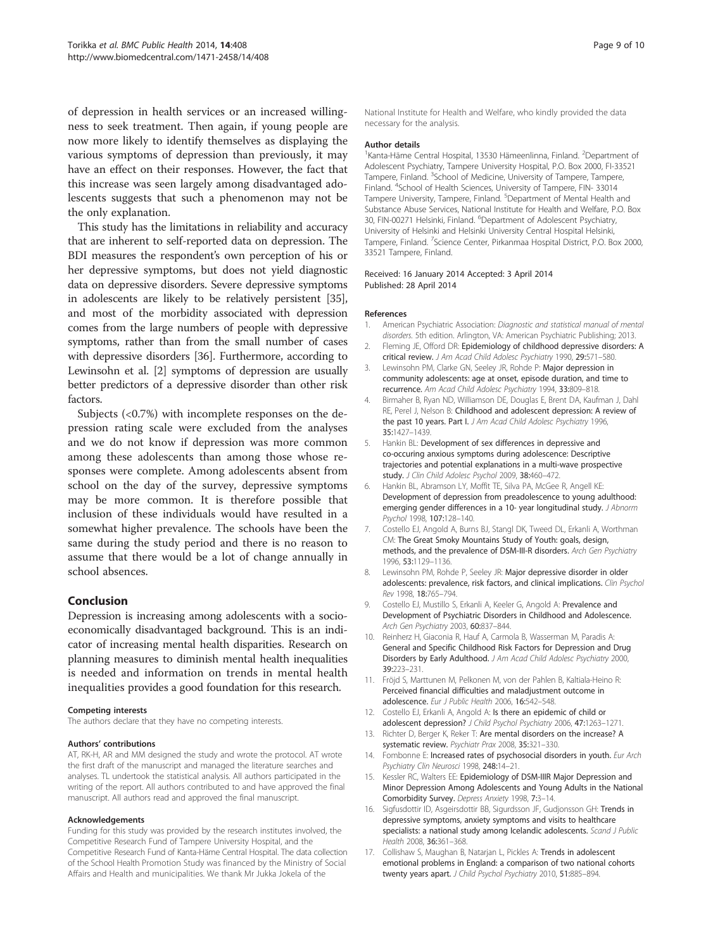<span id="page-9-0"></span>of depression in health services or an increased willingness to seek treatment. Then again, if young people are now more likely to identify themselves as displaying the various symptoms of depression than previously, it may have an effect on their responses. However, the fact that this increase was seen largely among disadvantaged adolescents suggests that such a phenomenon may not be the only explanation.

This study has the limitations in reliability and accuracy that are inherent to self-reported data on depression. The BDI measures the respondent's own perception of his or her depressive symptoms, but does not yield diagnostic data on depressive disorders. Severe depressive symptoms in adolescents are likely to be relatively persistent [[35](#page-10-0)], and most of the morbidity associated with depression comes from the large numbers of people with depressive symptoms, rather than from the small number of cases with depressive disorders [\[36\]](#page-10-0). Furthermore, according to Lewinsohn et al. [2] symptoms of depression are usually better predictors of a depressive disorder than other risk factors.

Subjects (<0.7%) with incomplete responses on the depression rating scale were excluded from the analyses and we do not know if depression was more common among these adolescents than among those whose responses were complete. Among adolescents absent from school on the day of the survey, depressive symptoms may be more common. It is therefore possible that inclusion of these individuals would have resulted in a somewhat higher prevalence. The schools have been the same during the study period and there is no reason to assume that there would be a lot of change annually in school absences.

## Conclusion

Depression is increasing among adolescents with a socioeconomically disadvantaged background. This is an indicator of increasing mental health disparities. Research on planning measures to diminish mental health inequalities is needed and information on trends in mental health inequalities provides a good foundation for this research.

#### Competing interests

The authors declare that they have no competing interests.

#### Authors' contributions

AT, RK-H, AR and MM designed the study and wrote the protocol. AT wrote the first draft of the manuscript and managed the literature searches and analyses. TL undertook the statistical analysis. All authors participated in the writing of the report. All authors contributed to and have approved the final manuscript. All authors read and approved the final manuscript.

#### Acknowledgements

Funding for this study was provided by the research institutes involved, the Competitive Research Fund of Tampere University Hospital, and the Competitive Research Fund of Kanta-Häme Central Hospital. The data collection of the School Health Promotion Study was financed by the Ministry of Social Affairs and Health and municipalities. We thank Mr Jukka Jokela of the

National Institute for Health and Welfare, who kindly provided the data necessary for the analysis.

#### Author details

<sup>1</sup> Kanta-Häme Central Hospital, 13530 Hämeenlinna, Finland. <sup>2</sup>Department of Adolescent Psychiatry, Tampere University Hospital, P.O. Box 2000, FI-33521 Tampere, Finland. <sup>3</sup>School of Medicine, University of Tampere, Tampere, Finland. <sup>4</sup>School of Health Sciences, University of Tampere, FIN- 33014 Tampere University, Tampere, Finland. <sup>5</sup>Department of Mental Health and Substance Abuse Services, National Institute for Health and Welfare, P.O. Box 30, FIN-00271 Helsinki, Finland. <sup>6</sup>Department of Adolescent Psychiatry, University of Helsinki and Helsinki University Central Hospital Helsinki, Tampere, Finland. <sup>7</sup>Science Center, Pirkanmaa Hospital District, P.O. Box 2000 33521 Tampere, Finland.

#### Received: 16 January 2014 Accepted: 3 April 2014 Published: 28 April 2014

#### References

- 1. American Psychiatric Association: Diagnostic and statistical manual of mental disorders. 5th edition. Arlington, VA: American Psychiatric Publishing; 2013.
- 2. Fleming JE, Offord DR: Epidemiology of childhood depressive disorders: A critical review. J Am Acad Child Adolesc Psychiatry 1990, 29:571-580.
- 3. Lewinsohn PM, Clarke GN, Seeley JR, Rohde P: Major depression in community adolescents: age at onset, episode duration, and time to recurrence. Am Acad Child Adolesc Psychiatry 1994, 33:809–818.
- 4. Birmaher B, Ryan ND, Williamson DE, Douglas E, Brent DA, Kaufman J, Dahl RE, Perel J, Nelson B: Childhood and adolescent depression: A review of the past 10 years. Part I. J Am Acad Child Adolesc Psychiatry 1996, 35:1427–1439.
- 5. Hankin BL: Development of sex differences in depressive and co-occuring anxious symptoms during adolescence: Descriptive trajectories and potential explanations in a multi-wave prospective study. J Clin Child Adolesc Psychol 2009, 38:460-472.
- 6. Hankin BL, Abramson LY, Moffit TE, Silva PA, McGee R, Angell KE: Development of depression from preadolescence to young adulthood: emerging gender differences in a 10- year longitudinal study. J Abnorm Psychol 1998, 107:128–140.
- 7. Costello EJ, Angold A, Burns BJ, Stangl DK, Tweed DL, Erkanli A, Worthman CM: The Great Smoky Mountains Study of Youth: goals, design, methods, and the prevalence of DSM-III-R disorders. Arch Gen Psychiatry 1996, 53:1129–1136.
- 8. Lewinsohn PM, Rohde P, Seeley JR: Major depressive disorder in older adolescents: prevalence, risk factors, and clinical implications. Clin Psychol Rev 1998, 18:765–794.
- 9. Costello EJ, Mustillo S, Erkanli A, Keeler G, Angold A: Prevalence and Development of Psychiatric Disorders in Childhood and Adolescence. Arch Gen Psychiatry 2003, 60:837-844.
- 10. Reinherz H, Giaconia R, Hauf A, Carmola B, Wasserman M, Paradis A: General and Specific Childhood Risk Factors for Depression and Drug Disorders by Early Adulthood. J Am Acad Child Adolesc Psychiatry 2000, 39:223–231.
- 11. Fröjd S, Marttunen M, Pelkonen M, von der Pahlen B, Kaltiala-Heino R: Perceived financial difficulties and maladjustment outcome in adolescence. Eur J Public Health 2006, 16:542-548.
- 12. Costello EJ, Erkanli A, Angold A: Is there an epidemic of child or adolescent depression? J Child Psychol Psychiatry 2006, 47:1263–1271.
- 13. Richter D, Berger K, Reker T: Are mental disorders on the increase? A systematic review. Psychiatr Prax 2008, 35:321–330.
- 14. Fombonne E: Increased rates of psychosocial disorders in youth. Eur Arch Psychiatry Clin Neurosci 1998, 248:14–21.
- 15. Kessler RC, Walters EE: Epidemiology of DSM-IIIR Major Depression and Minor Depression Among Adolescents and Young Adults in the National Comorbidity Survey. Depress Anxiety 1998, 7:3–14.
- 16. Sigfusdottir ID, Asgeirsdottir BB, Sigurdsson JF, Gudjonsson GH: Trends in depressive symptoms, anxiety symptoms and visits to healthcare specialists: a national study among Icelandic adolescents. Scand J Public Health 2008, 36:361–368.
- 17. Collishaw S, Maughan B, Natarjan L, Pickles A: Trends in adolescent emotional problems in England: a comparison of two national cohorts twenty years apart. J Child Psychol Psychiatry 2010, 51:885-894.